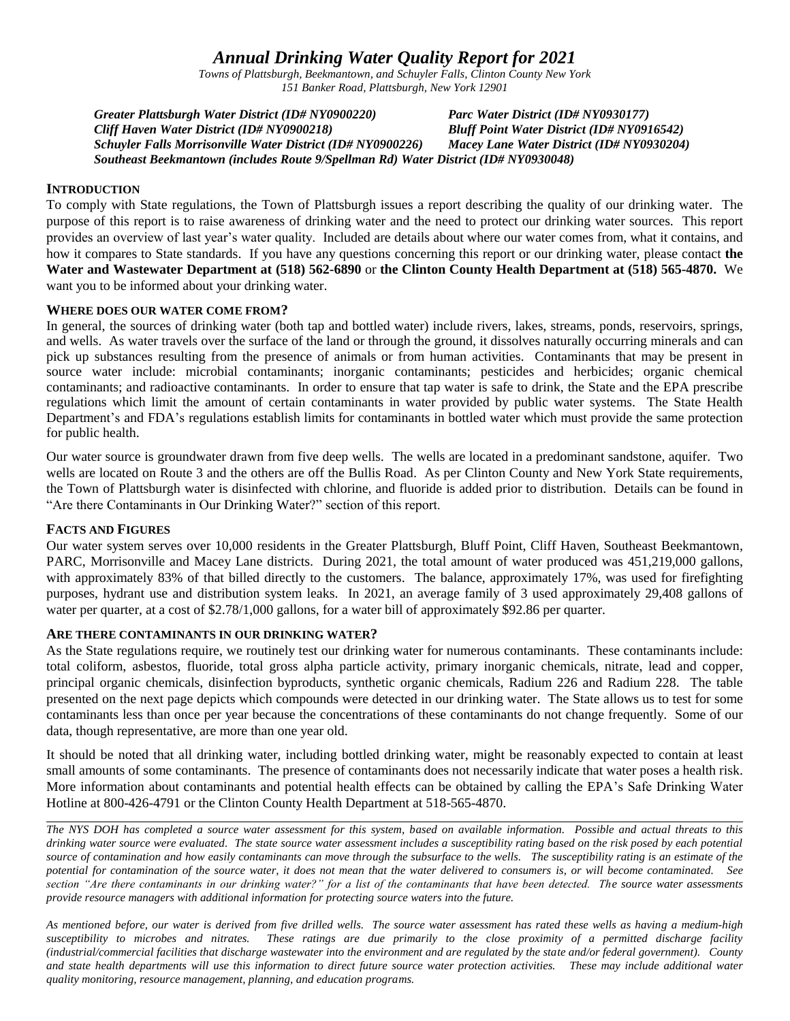# *Annual Drinking Water Quality Report for 2021*

*Towns of Plattsburgh, Beekmantown, and Schuyler Falls, Clinton County New York 151 Banker Road, Plattsburgh, New York 12901*

*Greater Plattsburgh Water District (ID# NY0900220) Parc Water District (ID# NY0930177) Cliff Haven Water District (ID# NY0900218) Bluff Point Water District (ID# NY0916542) Schuyler Falls Morrisonville Water District (ID# NY0900226) Macey Lane Water District (ID# NY0930204) Southeast Beekmantown (includes Route 9/Spellman Rd) Water District (ID# NY0930048)*

# **INTRODUCTION**

To comply with State regulations, the Town of Plattsburgh issues a report describing the quality of our drinking water. The purpose of this report is to raise awareness of drinking water and the need to protect our drinking water sources. This report provides an overview of last year's water quality. Included are details about where our water comes from, what it contains, and how it compares to State standards. If you have any questions concerning this report or our drinking water, please contact **the Water and Wastewater Department at (518) 562-6890** or **the Clinton County Health Department at (518) 565-4870.** We want you to be informed about your drinking water.

### **WHERE DOES OUR WATER COME FROM?**

In general, the sources of drinking water (both tap and bottled water) include rivers, lakes, streams, ponds, reservoirs, springs, and wells. As water travels over the surface of the land or through the ground, it dissolves naturally occurring minerals and can pick up substances resulting from the presence of animals or from human activities. Contaminants that may be present in source water include: microbial contaminants; inorganic contaminants; pesticides and herbicides; organic chemical contaminants; and radioactive contaminants. In order to ensure that tap water is safe to drink, the State and the EPA prescribe regulations which limit the amount of certain contaminants in water provided by public water systems. The State Health Department's and FDA's regulations establish limits for contaminants in bottled water which must provide the same protection for public health.

Our water source is groundwater drawn from five deep wells. The wells are located in a predominant sandstone, aquifer. Two wells are located on Route 3 and the others are off the Bullis Road. As per Clinton County and New York State requirements, the Town of Plattsburgh water is disinfected with chlorine, and fluoride is added prior to distribution. Details can be found in "Are there Contaminants in Our Drinking Water?" section of this report.

### **FACTS AND FIGURES**

Our water system serves over 10,000 residents in the Greater Plattsburgh, Bluff Point, Cliff Haven, Southeast Beekmantown, PARC, Morrisonville and Macey Lane districts. During 2021, the total amount of water produced was 451,219,000 gallons, with approximately 83% of that billed directly to the customers. The balance, approximately 17%, was used for firefighting purposes, hydrant use and distribution system leaks. In 2021, an average family of 3 used approximately 29,408 gallons of water per quarter, at a cost of \$2.78/1,000 gallons, for a water bill of approximately \$92.86 per quarter.

### **ARE THERE CONTAMINANTS IN OUR DRINKING WATER?**

As the State regulations require, we routinely test our drinking water for numerous contaminants. These contaminants include: total coliform, asbestos, fluoride, total gross alpha particle activity, primary inorganic chemicals, nitrate, lead and copper, principal organic chemicals, disinfection byproducts, synthetic organic chemicals, Radium 226 and Radium 228. The table presented on the next page depicts which compounds were detected in our drinking water. The State allows us to test for some contaminants less than once per year because the concentrations of these contaminants do not change frequently. Some of our data, though representative, are more than one year old.

It should be noted that all drinking water, including bottled drinking water, might be reasonably expected to contain at least small amounts of some contaminants. The presence of contaminants does not necessarily indicate that water poses a health risk. More information about contaminants and potential health effects can be obtained by calling the EPA's Safe Drinking Water Hotline at 800-426-4791 or the Clinton County Health Department at 518-565-4870.

*The NYS DOH has completed a source water assessment for this system, based on available information. Possible and actual threats to this drinking water source were evaluated. The state source water assessment includes a susceptibility rating based on the risk posed by each potential source of contamination and how easily contaminants can move through the subsurface to the wells. The susceptibility rating is an estimate of the potential for contamination of the source water, it does not mean that the water delivered to consumers is, or will become contaminated. See section "Are there contaminants in our drinking water?" for a list of the contaminants that have been detected. The source water assessments provide resource managers with additional information for protecting source waters into the future.* 

*As mentioned before, our water is derived from five drilled wells. The source water assessment has rated these wells as having a medium-high susceptibility to microbes and nitrates. These ratings are due primarily to the close proximity of a permitted discharge facility (industrial/commercial facilities that discharge wastewater into the environment and are regulated by the state and/or federal government). County and state health departments will use this information to direct future source water protection activities. These may include additional water quality monitoring, resource management, planning, and education programs.*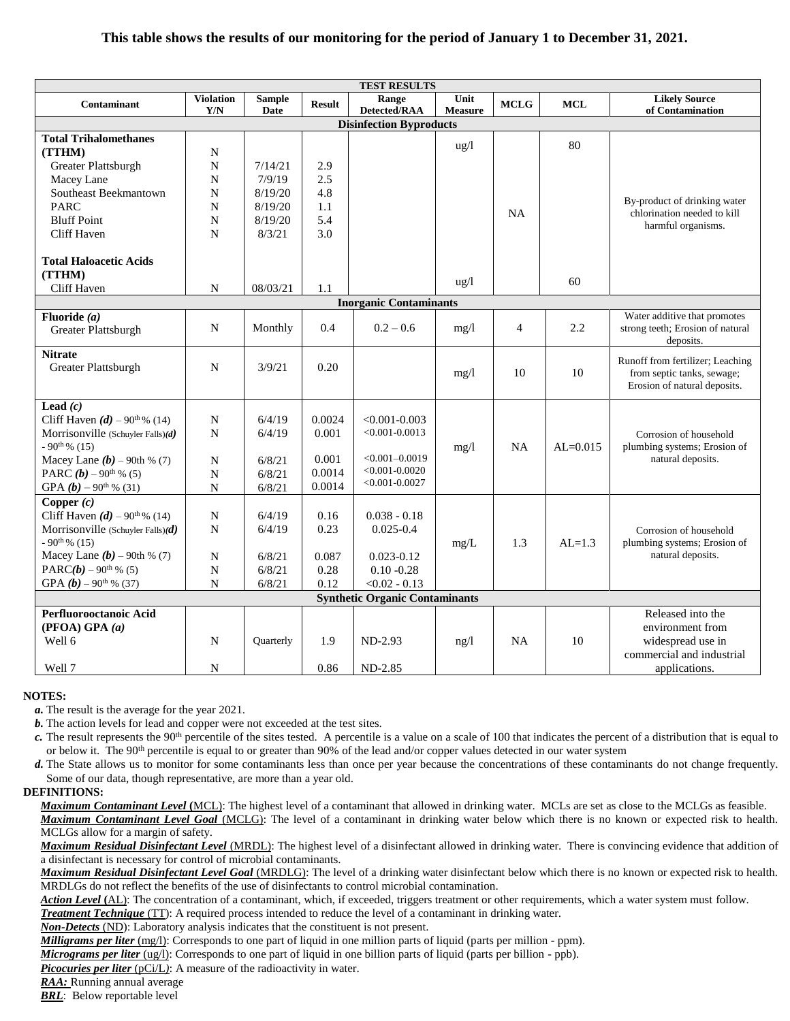# **This table shows the results of our monitoring for the period of January 1 to December 31, 2021.**

| <b>TEST RESULTS</b>                         |                  |               |               |                               |                |                |              |                                                                               |  |  |
|---------------------------------------------|------------------|---------------|---------------|-------------------------------|----------------|----------------|--------------|-------------------------------------------------------------------------------|--|--|
| Contaminant                                 | <b>Violation</b> | <b>Sample</b> | <b>Result</b> | Range                         | Unit           | <b>MCLG</b>    | $\bf MCL$    | <b>Likely Source</b>                                                          |  |  |
|                                             | Y/N              | Date          |               | Detected/RAA                  | <b>Measure</b> |                |              | of Contamination                                                              |  |  |
| <b>Disinfection Byproducts</b>              |                  |               |               |                               |                |                |              |                                                                               |  |  |
| <b>Total Trihalomethanes</b>                |                  |               |               |                               | ug/l           |                | 80           |                                                                               |  |  |
| (TTHM)                                      | ${\bf N}$        |               |               |                               |                |                |              |                                                                               |  |  |
| Greater Plattsburgh                         | N                | 7/14/21       | 2.9           |                               |                |                |              |                                                                               |  |  |
| Macey Lane                                  | N                | 7/9/19        | 2.5           |                               |                |                |              |                                                                               |  |  |
| Southeast Beekmantown                       | N                | 8/19/20       | 4.8           |                               |                |                |              | By-product of drinking water                                                  |  |  |
| <b>PARC</b>                                 | N                | 8/19/20       | 1.1           |                               |                | NA             |              | chlorination needed to kill                                                   |  |  |
| <b>Bluff Point</b>                          | $\mathbf N$      | 8/19/20       | 5.4           |                               |                |                |              | harmful organisms.                                                            |  |  |
| Cliff Haven                                 | N                | 8/3/21        | 3.0           |                               |                |                |              |                                                                               |  |  |
| <b>Total Haloacetic Acids</b>               |                  |               |               |                               |                |                |              |                                                                               |  |  |
| (TTHM)                                      |                  |               |               |                               | ug/l           |                | 60           |                                                                               |  |  |
| Cliff Haven                                 | N                | 08/03/21      | 1.1           |                               |                |                |              |                                                                               |  |  |
|                                             |                  |               |               | <b>Inorganic Contaminants</b> |                |                |              |                                                                               |  |  |
| Fluoride $(a)$<br>Greater Plattsburgh       | N                | Monthly       | 0.4           | $0.2 - 0.6$                   | mg/1           | $\overline{4}$ | 2.2          | Water additive that promotes<br>strong teeth; Erosion of natural<br>deposits. |  |  |
| <b>Nitrate</b>                              |                  |               |               |                               |                |                |              | Runoff from fertilizer; Leaching                                              |  |  |
| Greater Plattsburgh                         | N                | 3/9/21        | 0.20          |                               | mg/1           | 10<br>10       |              | from septic tanks, sewage;<br>Erosion of natural deposits.                    |  |  |
| Lead $(c)$                                  |                  |               |               |                               |                |                |              |                                                                               |  |  |
| Cliff Haven $(d)$ – 90 <sup>th</sup> % (14) | N                | 6/4/19        | 0.0024        | $< 0.001 - 0.003$             |                |                |              |                                                                               |  |  |
| Morrisonville (Schuyler Falls) $(d)$        | N                | 6/4/19        | 0.001         | $< 0.001 - 0.0013$            |                |                |              | Corrosion of household                                                        |  |  |
| $-90^{th}\%$ (15)                           |                  |               |               |                               | mg/l           | <b>NA</b>      | $AL = 0.015$ | plumbing systems; Erosion of                                                  |  |  |
| Macey Lane $(b)$ – 90th % (7)               | $\mathbf N$      | 6/8/21        | 0.001         | $< 0.001 - 0.0019$            |                |                |              | natural deposits.                                                             |  |  |
| PARC $(b)$ – 90 <sup>th</sup> % (5)         | N                | 6/8/21        | 0.0014        | $< 0.001 - 0.0020$            |                |                |              |                                                                               |  |  |
| GPA $(b)$ – 90 <sup>th</sup> % (31)         | ${\bf N}$        | 6/8/21        | 0.0014        | $< 0.001 - 0.0027$            |                |                |              |                                                                               |  |  |
| Copper $(c)$                                |                  |               |               |                               |                |                |              |                                                                               |  |  |
| Cliff Haven $(d)$ – 90 <sup>th</sup> % (14) | ${\bf N}$        | 6/4/19        | 0.16          | $0.038 - 0.18$                |                |                |              |                                                                               |  |  |
| Morrisonville (Schuyler Falls) $(d)$        | N                | 6/4/19        | 0.23          | $0.025 - 0.4$                 |                |                |              | Corrosion of household                                                        |  |  |
| $-90$ <sup>th %</sup> (15)                  |                  |               |               |                               | mg/L           | 1.3            | $AL=1.3$     | plumbing systems; Erosion of                                                  |  |  |
| Macey Lane $(b)$ – 90th % (7)               | ${\bf N}$        | 6/8/21        | 0.087         | $0.023 - 0.12$                |                |                |              | natural deposits.                                                             |  |  |
| PARC( $b$ ) – 90 <sup>th</sup> % (5)        | N                | 6/8/21        | 0.28          | $0.10 - 0.28$                 |                |                |              |                                                                               |  |  |
| GPA $(b)$ – 90 <sup>th</sup> % (37)         | ${\bf N}$        | 6/8/21        | 0.12          | $< 0.02 - 0.13$               |                |                |              |                                                                               |  |  |
| <b>Synthetic Organic Contaminants</b>       |                  |               |               |                               |                |                |              |                                                                               |  |  |
| Perfluorooctanoic Acid                      |                  |               |               |                               |                |                |              | Released into the                                                             |  |  |
| (PFOA) GPA (a)                              |                  |               |               |                               |                |                |              | environment from                                                              |  |  |
| Well 6                                      | ${\bf N}$        | Quarterly     | 1.9           | $ND-2.93$                     | ng/l           | <b>NA</b>      | 10           | widespread use in                                                             |  |  |
|                                             |                  |               |               |                               |                |                |              | commercial and industrial                                                     |  |  |
| Well 7                                      | N                |               | 0.86          | $ND-2.85$                     |                |                |              | applications.                                                                 |  |  |

#### **NOTES:**

*a.* The result is the average for the year 2021.

*b.* The action levels for lead and copper were not exceeded at the test sites.

*c*. The result represents the 90<sup>th</sup> percentile of the sites tested. A percentile is a value on a scale of 100 that indicates the percent of a distribution that is equal to or below it. The 90<sup>th</sup> percentile is equal to or greater than 90% of the lead and/or copper values detected in our water system

*d.* The State allows us to monitor for some contaminants less than once per year because the concentrations of these contaminants do not change frequently. Some of our data, though representative, are more than a year old.

#### **DEFINITIONS:**

*Maximum Contaminant Level* **(**MCL): The highest level of a contaminant that allowed in drinking water. MCLs are set as close to the MCLGs as feasible. *Maximum Contaminant Level Goal* (MCLG): The level of a contaminant in drinking water below which there is no known or expected risk to health. MCLGs allow for a margin of safety.

*Maximum Residual Disinfectant Level* (MRDL): The highest level of a disinfectant allowed in drinking water. There is convincing evidence that addition of a disinfectant is necessary for control of microbial contaminants.

*Maximum Residual Disinfectant Level Goal* (MRDLG): The level of a drinking water disinfectant below which there is no known or expected risk to health. MRDLGs do not reflect the benefits of the use of disinfectants to control microbial contamination.

*Action Level* **(**AL): The concentration of a contaminant, which, if exceeded, triggers treatment or other requirements, which a water system must follow.

*Treatment Technique* (TT): A required process intended to reduce the level of a contaminant in drinking water.

*Non-Detects* (ND): Laboratory analysis indicates that the constituent is not present.

*Milligrams per liter* (mg/l): Corresponds to one part of liquid in one million parts of liquid (parts per million - ppm).

*Micrograms per liter* (ug/l): Corresponds to one part of liquid in one billion parts of liquid (parts per billion - ppb).

*Picocuries per liter* (pCi/L): A measure of the radioactivity in water.

*RAA:* Running annual average

**BRL**: Below reportable level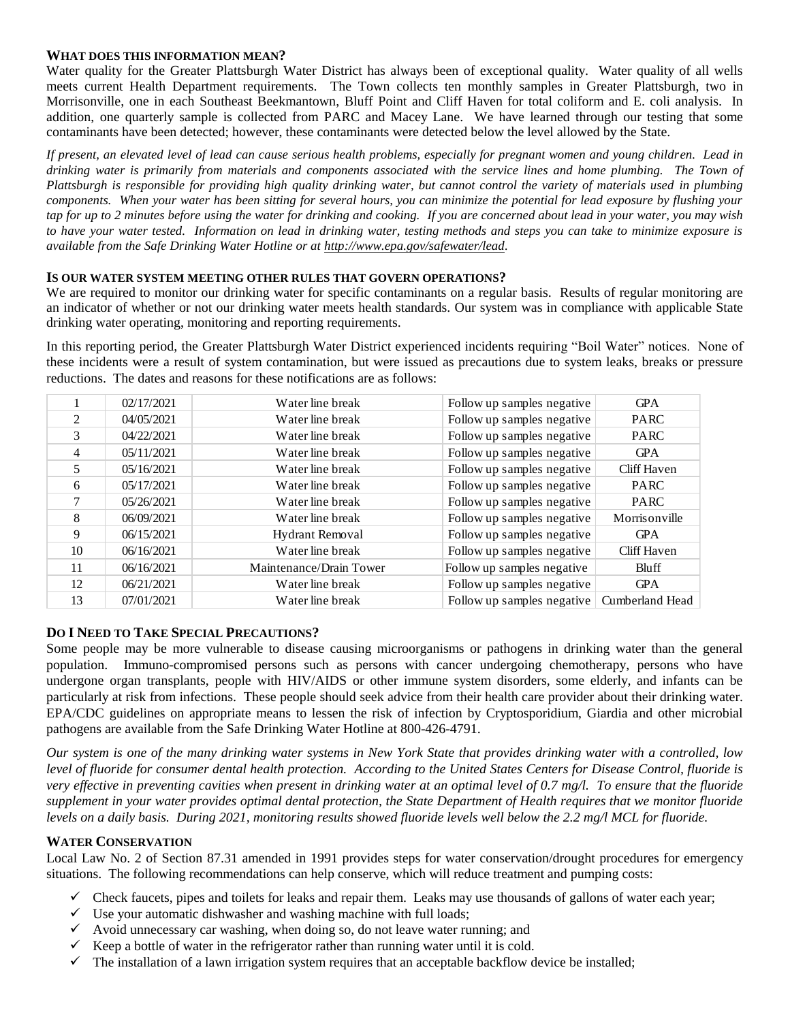### **WHAT DOES THIS INFORMATION MEAN?**

Water quality for the Greater Plattsburgh Water District has always been of exceptional quality. Water quality of all wells meets current Health Department requirements. The Town collects ten monthly samples in Greater Plattsburgh, two in Morrisonville, one in each Southeast Beekmantown, Bluff Point and Cliff Haven for total coliform and E. coli analysis. In addition, one quarterly sample is collected from PARC and Macey Lane. We have learned through our testing that some contaminants have been detected; however, these contaminants were detected below the level allowed by the State.

*If present, an elevated level of lead can cause serious health problems, especially for pregnant women and young children. Lead in drinking water is primarily from materials and components associated with the service lines and home plumbing. The Town of Plattsburgh is responsible for providing high quality drinking water, but cannot control the variety of materials used in plumbing components. When your water has been sitting for several hours, you can minimize the potential for lead exposure by flushing your*  tap for up to 2 minutes before using the water for drinking and cooking. If you are concerned about lead in your water, you may wish *to have your water tested. Information on lead in drinking water, testing methods and steps you can take to minimize exposure is available from the Safe Drinking Water Hotline or at [http://www.epa.gov/safewater/lead.](http://www.epa.gov/safewater/lead)*

# **IS OUR WATER SYSTEM MEETING OTHER RULES THAT GOVERN OPERATIONS?**

We are required to monitor our drinking water for specific contaminants on a regular basis. Results of regular monitoring are an indicator of whether or not our drinking water meets health standards. Our system was in compliance with applicable State drinking water operating, monitoring and reporting requirements.

In this reporting period, the Greater Plattsburgh Water District experienced incidents requiring "Boil Water" notices. None of these incidents were a result of system contamination, but were issued as precautions due to system leaks, breaks or pressure reductions. The dates and reasons for these notifications are as follows:

|                | 02/17/2021 | Water line break        | Follow up samples negative | <b>GPA</b>      |
|----------------|------------|-------------------------|----------------------------|-----------------|
| $\mathfrak{D}$ | 04/05/2021 | Water line break        | Follow up samples negative | <b>PARC</b>     |
| 3              | 04/22/2021 | Water line break        | Follow up samples negative | <b>PARC</b>     |
| 4              | 05/11/2021 | Water line break        | Follow up samples negative | <b>GPA</b>      |
| 5              | 05/16/2021 | Water line break        | Follow up samples negative | Cliff Haven     |
| 6              | 05/17/2021 | Water line break        | Follow up samples negative | <b>PARC</b>     |
| $\mathcal{I}$  | 05/26/2021 | Water line break        | Follow up samples negative | <b>PARC</b>     |
| 8              | 06/09/2021 | Water line break        | Follow up samples negative | Morrisonville   |
| 9              | 06/15/2021 | Hydrant Removal         | Follow up samples negative | <b>GPA</b>      |
| 10             | 06/16/2021 | Water line break        | Follow up samples negative | Cliff Haven     |
| 11             | 06/16/2021 | Maintenance/Drain Tower | Follow up samples negative | Bluff           |
| 12             | 06/21/2021 | Water line break        | Follow up samples negative | <b>GPA</b>      |
| 13             | 07/01/2021 | Water line break        | Follow up samples negative | Cumberland Head |

# **DO I NEED TO TAKE SPECIAL PRECAUTIONS?**

Some people may be more vulnerable to disease causing microorganisms or pathogens in drinking water than the general population. Immuno-compromised persons such as persons with cancer undergoing chemotherapy, persons who have undergone organ transplants, people with HIV/AIDS or other immune system disorders, some elderly, and infants can be particularly at risk from infections. These people should seek advice from their health care provider about their drinking water. EPA/CDC guidelines on appropriate means to lessen the risk of infection by Cryptosporidium, Giardia and other microbial pathogens are available from the Safe Drinking Water Hotline at 800-426-4791.

*Our system is one of the many drinking water systems in New York State that provides drinking water with a controlled, low level of fluoride for consumer dental health protection. According to the United States Centers for Disease Control, fluoride is very effective in preventing cavities when present in drinking water at an optimal level of 0.7 mg/l. To ensure that the fluoride supplement in your water provides optimal dental protection, the State Department of Health requires that we monitor fluoride levels on a daily basis. During 2021, monitoring results showed fluoride levels well below the 2.2 mg/l MCL for fluoride.*

# **WATER CONSERVATION**

Local Law No. 2 of Section 87.31 amended in 1991 provides steps for water conservation/drought procedures for emergency situations. The following recommendations can help conserve, which will reduce treatment and pumping costs:

- $\checkmark$  Check faucets, pipes and toilets for leaks and repair them. Leaks may use thousands of gallons of water each year;
- $\checkmark$  Use your automatic dishwasher and washing machine with full loads;
- $\checkmark$  Avoid unnecessary car washing, when doing so, do not leave water running; and
- $\checkmark$  Keep a bottle of water in the refrigerator rather than running water until it is cold.
- $\checkmark$  The installation of a lawn irrigation system requires that an acceptable backflow device be installed;